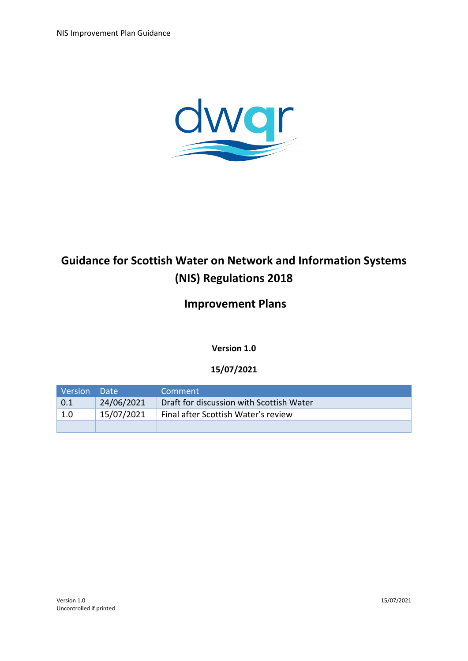

# **Guidance for Scottish Water on Network and Information Systems (NIS) Regulations 2018**

## **Improvement Plans**

**Version 1.0**

### **15/07/2021**

| l Version | Date !     | Comment                                  |
|-----------|------------|------------------------------------------|
| 0.1       | 24/06/2021 | Draft for discussion with Scottish Water |
| 1.0       | 15/07/2021 | Final after Scottish Water's review      |
|           |            |                                          |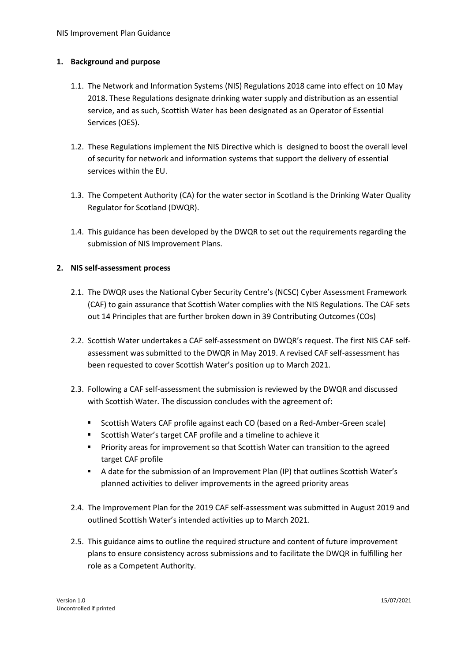#### **1. Background and purpose**

- 1.1. The Network and Information Systems (NIS) Regulations 2018 came into effect on 10 May 2018. These Regulations designate drinking water supply and distribution as an essential service, and as such, Scottish Water has been designated as an Operator of Essential Services (OES).
- 1.2. These Regulations implement the NIS Directive which is designed to boost the overall level of security for network and information systems that support the delivery of essential services within the EU.
- 1.3. The Competent Authority (CA) for the water sector in Scotland is the Drinking Water Quality Regulator for Scotland (DWQR).
- 1.4. This guidance has been developed by the DWQR to set out the requirements regarding the submission of NIS Improvement Plans.

#### **2. NIS self-assessment process**

- 2.1. The DWQR uses the National Cyber Security Centre's (NCSC) Cyber Assessment Framework (CAF) to gain assurance that Scottish Water complies with the NIS Regulations. The CAF sets out 14 Principles that are further broken down in 39 Contributing Outcomes (COs)
- 2.2. Scottish Water undertakes a CAF self-assessment on DWQR's request. The first NIS CAF selfassessment was submitted to the DWQR in May 2019. A revised CAF self-assessment has been requested to cover Scottish Water's position up to March 2021.
- 2.3. Following a CAF self-assessment the submission is reviewed by the DWQR and discussed with Scottish Water. The discussion concludes with the agreement of:
	- Scottish Waters CAF profile against each CO (based on a Red-Amber-Green scale)
	- Scottish Water's target CAF profile and a timeline to achieve it
	- **Priority areas for improvement so that Scottish Water can transition to the agreed** target CAF profile
	- A date for the submission of an Improvement Plan (IP) that outlines Scottish Water's planned activities to deliver improvements in the agreed priority areas
- 2.4. The Improvement Plan for the 2019 CAF self-assessment was submitted in August 2019 and outlined Scottish Water's intended activities up to March 2021.
- 2.5. This guidance aims to outline the required structure and content of future improvement plans to ensure consistency across submissions and to facilitate the DWQR in fulfilling her role as a Competent Authority.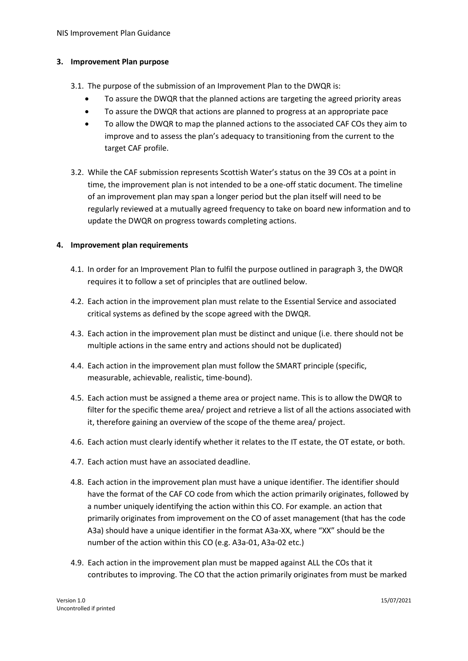#### <span id="page-2-0"></span>**3. Improvement Plan purpose**

- 3.1. The purpose of the submission of an Improvement Plan to the DWQR is:
	- To assure the DWQR that the planned actions are targeting the agreed priority areas
	- To assure the DWQR that actions are planned to progress at an appropriate pace
	- To allow the DWQR to map the planned actions to the associated CAF COs they aim to improve and to assess the plan's adequacy to transitioning from the current to the target CAF profile.
- 3.2. While the CAF submission represents Scottish Water's status on the 39 COs at a point in time, the improvement plan is not intended to be a one-off static document. The timeline of an improvement plan may span a longer period but the plan itself will need to be regularly reviewed at a mutually agreed frequency to take on board new information and to update the DWQR on progress towards completing actions.

#### <span id="page-2-1"></span>**4. Improvement plan requirements**

- 4.1. In order for an Improvement Plan to fulfil the purpose outlined in paragraph [3,](#page-2-0) the DWQR requires it to follow a set of principles that are outlined below.
- 4.2. Each action in the improvement plan must relate to the Essential Service and associated critical systems as defined by the scope agreed with the DWQR.
- 4.3. Each action in the improvement plan must be distinct and unique (i.e. there should not be multiple actions in the same entry and actions should not be duplicated)
- 4.4. Each action in the improvement plan must follow the SMART principle (specific, measurable, achievable, realistic, time-bound).
- 4.5. Each action must be assigned a theme area or project name. This is to allow the DWQR to filter for the specific theme area/ project and retrieve a list of all the actions associated with it, therefore gaining an overview of the scope of the theme area/ project.
- 4.6. Each action must clearly identify whether it relates to the IT estate, the OT estate, or both.
- 4.7. Each action must have an associated deadline.
- 4.8. Each action in the improvement plan must have a unique identifier. The identifier should have the format of the CAF CO code from which the action primarily originates, followed by a number uniquely identifying the action within this CO. For example. an action that primarily originates from improvement on the CO of asset management (that has the code A3a) should have a unique identifier in the format A3a-XX, where "XX" should be the number of the action within this CO (e.g. A3a-01, A3a-02 etc.)
- 4.9. Each action in the improvement plan must be mapped against ALL the COs that it contributes to improving. The CO that the action primarily originates from must be marked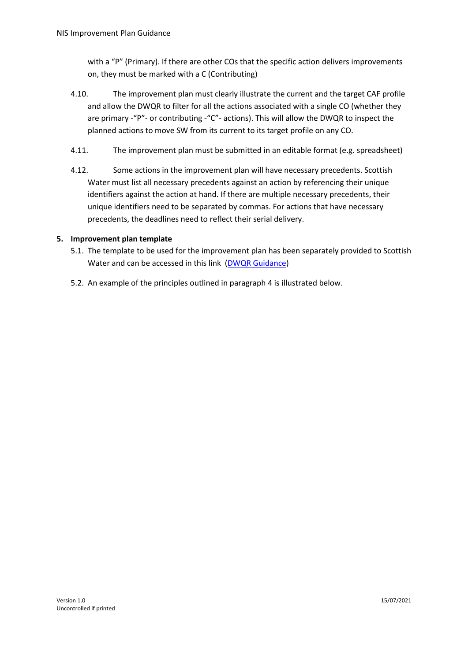with a "P" (Primary). If there are other COs that the specific action delivers improvements on, they must be marked with a C (Contributing)

- 4.10. The improvement plan must clearly illustrate the current and the target CAF profile and allow the DWQR to filter for all the actions associated with a single CO (whether they are primary -"P"- or contributing -"C"- actions). This will allow the DWQR to inspect the planned actions to move SW from its current to its target profile on any CO.
- 4.11. The improvement plan must be submitted in an editable format (e.g. spreadsheet)
- 4.12. Some actions in the improvement plan will have necessary precedents. Scottish Water must list all necessary precedents against an action by referencing their unique identifiers against the action at hand. If there are multiple necessary precedents, their unique identifiers need to be separated by commas. For actions that have necessary precedents, the deadlines need to reflect their serial delivery.

#### **5. Improvement plan template**

- 5.1. The template to be used for the improvement plan has been separately provided to Scottish Water and can be accessed in this link [\(DWQR Guidance\)](https://dwqr.scot/information/guidance/)
- 5.2. An example of the principles outlined in paragrap[h 4](#page-2-1) is illustrated below.